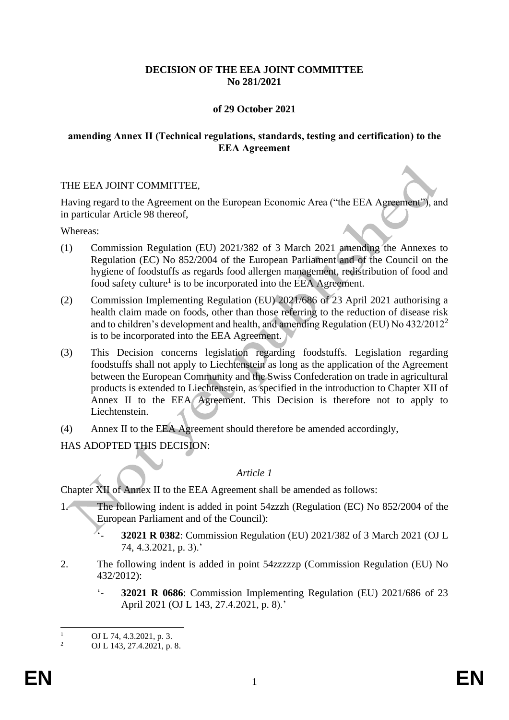### **DECISION OF THE EEA JOINT COMMITTEE No 281/2021**

### **of 29 October 2021**

#### **amending Annex II (Technical regulations, standards, testing and certification) to the EEA Agreement**

#### THE EEA JOINT COMMITTEE,

Having regard to the Agreement on the European Economic Area ("the EEA Agreement"), and in particular Article 98 thereof,

Whereas:

- (1) Commission Regulation (EU) 2021/382 of 3 March 2021 amending the Annexes to Regulation (EC) No 852/2004 of the European Parliament and of the Council on the hygiene of foodstuffs as regards food allergen management, redistribution of food and food safety culture<sup>1</sup> is to be incorporated into the EEA Agreement.
- (2) Commission Implementing Regulation (EU) 2021/686 of 23 April 2021 authorising a health claim made on foods, other than those referring to the reduction of disease risk and to children's development and health, and amending Regulation (EU) No 432/2012<sup>2</sup> is to be incorporated into the EEA Agreement.
- (3) This Decision concerns legislation regarding foodstuffs. Legislation regarding foodstuffs shall not apply to Liechtenstein as long as the application of the Agreement between the European Community and the Swiss Confederation on trade in agricultural products is extended to Liechtenstein, as specified in the introduction to Chapter XII of Annex II to the EEA Agreement. This Decision is therefore not to apply to Liechtenstein.
- (4) Annex II to the EEA Agreement should therefore be amended accordingly,

HAS ADOPTED THIS DECISION:

#### *Article 1*

Chapter XII of Annex II to the EEA Agreement shall be amended as follows:

- 1. The following indent is added in point 54zzzh (Regulation (EC) No 852/2004 of the European Parliament and of the Council):
	- '- **32021 R 0382**: Commission Regulation (EU) 2021/382 of 3 March 2021 (OJ L 74, 4.3.2021, p. 3).'
- 2. The following indent is added in point 54zzzzzp (Commission Regulation (EU) No 432/2012):
	- '- **32021 R 0686**: Commission Implementing Regulation (EU) 2021/686 of 23 April 2021 (OJ L 143, 27.4.2021, p. 8).'

 $\frac{1}{2}$  OJ L 74, 4.3.2021, p. 3.

<sup>2</sup> OJ L 143, 27.4.2021, p. 8.